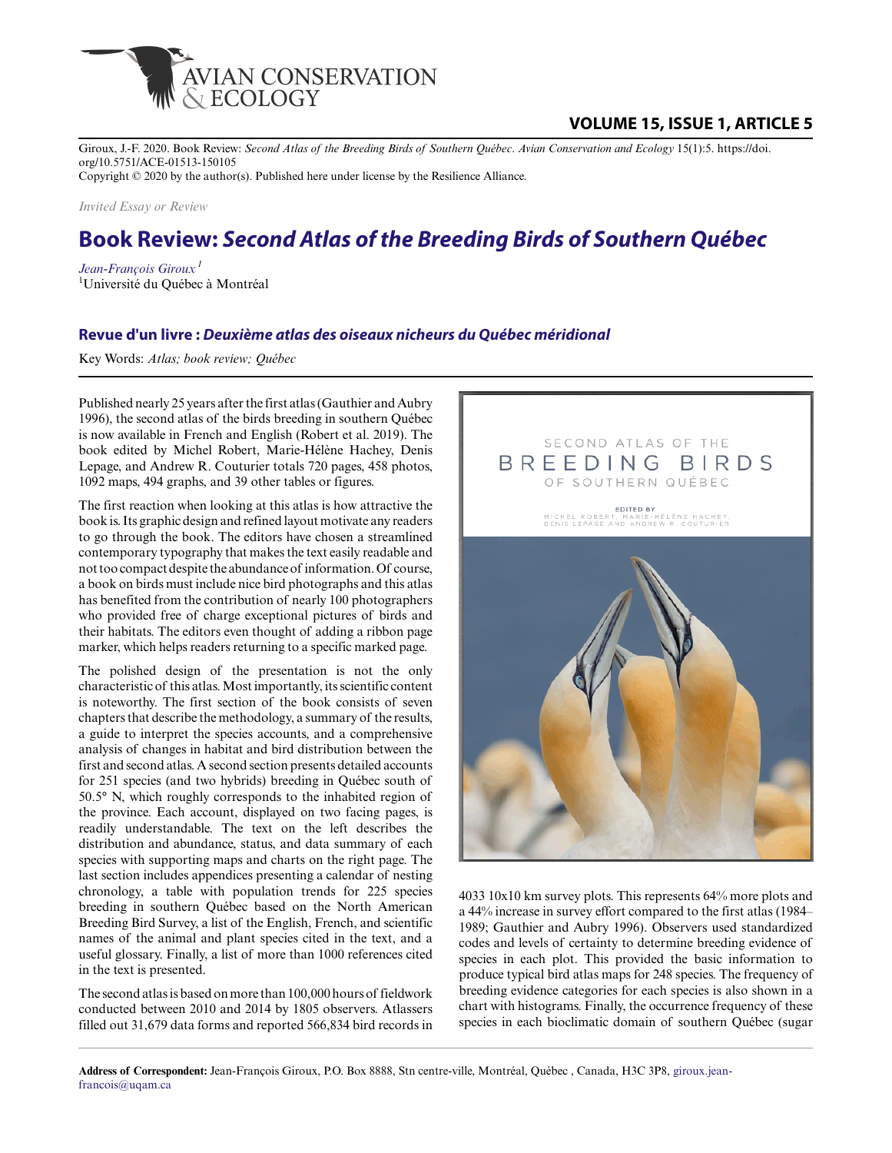

## **VOLUME 15, ISSUE 1, ARTICLE 5**

Giroux, J.-F. 2020. Book Review: *Second Atlas of the Breeding Birds of Southern Québec*. *Avian Conservation and Ecology* 15(1):5. https://doi. org/10.5751/ACE-01513-150105

Copyright © 2020 by the author(s). Published here under license by the Resilience Alliance.

*Invited Essay or Review*

## **Book Review:** *Second Atlas of the Breeding Birds of Southern Québec*

*[Jean-François Giroux](mailto:giroux.jean-francois@uqam.ca)<sup>1</sup>* <sup>1</sup>Université du Québec à Montréal

## **Revue d'un livre :** *Deuxième atlas des oiseaux nicheurs du Québec méridional*

Key Words: *Atlas; book review; Québec*

Published nearly 25 years after the first atlas (Gauthier and Aubry 1996), the second atlas of the birds breeding in southern Québec is now available in French and English (Robert et al. 2019). The book edited by Michel Robert, Marie-Hélène Hachey, Denis Lepage, and Andrew R. Couturier totals 720 pages, 458 photos, 1092 maps, 494 graphs, and 39 other tables or figures.

The first reaction when looking at this atlas is how attractive the book is. Its graphic design and refined layout motivate any readers to go through the book. The editors have chosen a streamlined contemporary typography that makes the text easily readable and not too compact despite the abundance of information. Of course, a book on birds must include nice bird photographs and this atlas has benefited from the contribution of nearly 100 photographers who provided free of charge exceptional pictures of birds and their habitats. The editors even thought of adding a ribbon page marker, which helps readers returning to a specific marked page.

The polished design of the presentation is not the only characteristic of this atlas. Most importantly, its scientific content is noteworthy. The first section of the book consists of seven chapters that describe the methodology, a summary of the results, a guide to interpret the species accounts, and a comprehensive analysis of changes in habitat and bird distribution between the first and second atlas. A second section presents detailed accounts for 251 species (and two hybrids) breeding in Québec south of 50.5° N, which roughly corresponds to the inhabited region of the province. Each account, displayed on two facing pages, is readily understandable. The text on the left describes the distribution and abundance, status, and data summary of each species with supporting maps and charts on the right page. The last section includes appendices presenting a calendar of nesting chronology, a table with population trends for 225 species breeding in southern Québec based on the North American Breeding Bird Survey, a list of the English, French, and scientific names of the animal and plant species cited in the text, and a useful glossary. Finally, a list of more than 1000 references cited in the text is presented.

The second atlas is based on more than 100,000 hours of fieldwork conducted between 2010 and 2014 by 1805 observers. Atlassers filled out 31,679 data forms and reported 566,834 bird records in



4033 10x10 km survey plots. This represents 64% more plots and a 44% increase in survey effort compared to the first atlas (1984– 1989; Gauthier and Aubry 1996). Observers used standardized codes and levels of certainty to determine breeding evidence of species in each plot. This provided the basic information to produce typical bird atlas maps for 248 species. The frequency of breeding evidence categories for each species is also shown in a chart with histograms. Finally, the occurrence frequency of these species in each bioclimatic domain of southern Québec (sugar